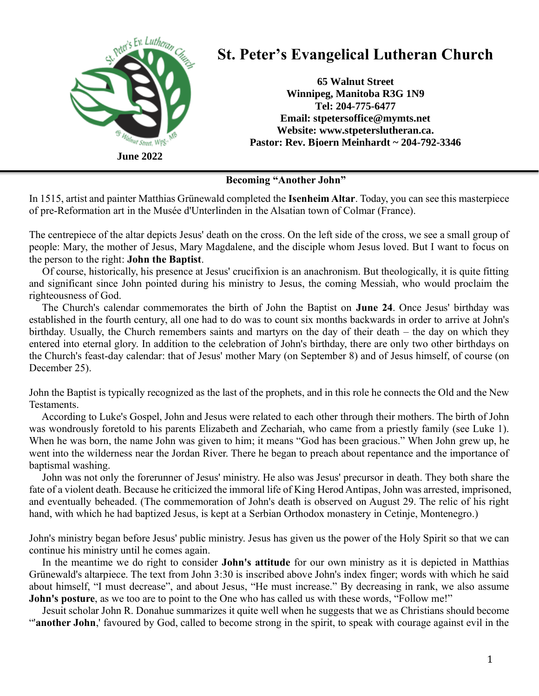

**Becoming "Another John"**

In 1515, artist and painter Matthias Grünewald completed the **Isenheim Altar**. Today, you can see this masterpiece of pre-Reformation art in the Musée d'Unterlinden in the Alsatian town of Colmar (France).

The centrepiece of the altar depicts Jesus' death on the cross. On the left side of the cross, we see a small group of people: Mary, the mother of Jesus, Mary Magdalene, and the disciple whom Jesus loved. But I want to focus on the person to the right: **John the Baptist**.

 Of course, historically, his presence at Jesus' crucifixion is an anachronism. But theologically, it is quite fitting and significant since John pointed during his ministry to Jesus, the coming Messiah, who would proclaim the righteousness of God.

 The Church's calendar commemorates the birth of John the Baptist on **June 24**. Once Jesus' birthday was established in the fourth century, all one had to do was to count six months backwards in order to arrive at John's birthday. Usually, the Church remembers saints and martyrs on the day of their death – the day on which they entered into eternal glory. In addition to the celebration of John's birthday, there are only two other birthdays on the Church's feast-day calendar: that of Jesus' mother Mary (on September 8) and of Jesus himself, of course (on December 25).

John the Baptist is typically recognized as the last of the prophets, and in this role he connects the Old and the New Testaments.

 According to Luke's Gospel, John and Jesus were related to each other through their mothers. The birth of John was wondrously foretold to his parents Elizabeth and Zechariah, who came from a priestly family (see Luke 1). When he was born, the name John was given to him; it means "God has been gracious." When John grew up, he went into the wilderness near the Jordan River. There he began to preach about repentance and the importance of baptismal washing.

 John was not only the forerunner of Jesus' ministry. He also was Jesus' precursor in death. They both share the fate of a violent death. Because he criticized the immoral life of King Herod Antipas, John was arrested, imprisoned, and eventually beheaded. (The commemoration of John's death is observed on August 29. The relic of his right hand, with which he had baptized Jesus, is kept at a Serbian Orthodox monastery in Cetinje, Montenegro.)

John's ministry began before Jesus' public ministry. Jesus has given us the power of the Holy Spirit so that we can continue his ministry until he comes again.

 In the meantime we do right to consider **John's attitude** for our own ministry as it is depicted in Matthias Grünewald's altarpiece. The text from John 3:30 is inscribed above John's index finger; words with which he said about himself, "I must decrease", and about Jesus, "He must increase." By decreasing in rank, we also assume **John's posture**, as we too are to point to the One who has called us with these words, "Follow me!"

 Jesuit scholar John R. Donahue summarizes it quite well when he suggests that we as Christians should become "'**another John**,' favoured by God, called to become strong in the spirit, to speak with courage against evil in the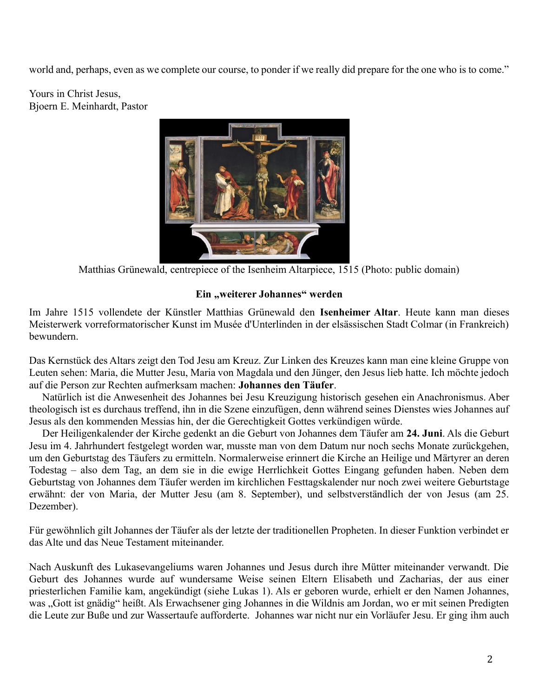world and, perhaps, even as we complete our course, to ponder if we really did prepare for the one who is to come."

Yours in Christ Jesus, Bjoern E. Meinhardt, Pastor



Matthias Grünewald, centrepiece of the Isenheim Altarpiece, 1515 (Photo: public domain)

## **Ein "weiterer Johannes" werden**

Im Jahre 1515 vollendete der Künstler Matthias Grünewald den **Isenheimer Altar**. Heute kann man dieses Meisterwerk vorreformatorischer Kunst im Musée d'Unterlinden in der elsässischen Stadt Colmar (in Frankreich) bewundern.

Das Kernstück des Altars zeigt den Tod Jesu am Kreuz. Zur Linken des Kreuzes kann man eine kleine Gruppe von Leuten sehen: Maria, die Mutter Jesu, Maria von Magdala und den Jünger, den Jesus lieb hatte. Ich möchte jedoch auf die Person zur Rechten aufmerksam machen: **Johannes den Täufer**.

 Natürlich ist die Anwesenheit des Johannes bei Jesu Kreuzigung historisch gesehen ein Anachronismus. Aber theologisch ist es durchaus treffend, ihn in die Szene einzufügen, denn während seines Dienstes wies Johannes auf Jesus als den kommenden Messias hin, der die Gerechtigkeit Gottes verkündigen würde.

 Der Heiligenkalender der Kirche gedenkt an die Geburt von Johannes dem Täufer am **24. Juni**. Als die Geburt Jesu im 4. Jahrhundert festgelegt worden war, musste man von dem Datum nur noch sechs Monate zurückgehen, um den Geburtstag des Täufers zu ermitteln. Normalerweise erinnert die Kirche an Heilige und Märtyrer an deren Todestag – also dem Tag, an dem sie in die ewige Herrlichkeit Gottes Eingang gefunden haben. Neben dem Geburtstag von Johannes dem Täufer werden im kirchlichen Festtagskalender nur noch zwei weitere Geburtstage erwähnt: der von Maria, der Mutter Jesu (am 8. September), und selbstverständlich der von Jesus (am 25. Dezember).

Für gewöhnlich gilt Johannes der Täufer als der letzte der traditionellen Propheten. In dieser Funktion verbindet er das Alte und das Neue Testament miteinander.

Nach Auskunft des Lukasevangeliums waren Johannes und Jesus durch ihre Mütter miteinander verwandt. Die Geburt des Johannes wurde auf wundersame Weise seinen Eltern Elisabeth und Zacharias, der aus einer priesterlichen Familie kam, angekündigt (siehe Lukas 1). Als er geboren wurde, erhielt er den Namen Johannes, was "Gott ist gnädig" heißt. Als Erwachsener ging Johannes in die Wildnis am Jordan, wo er mit seinen Predigten die Leute zur Buße und zur Wassertaufe aufforderte. Johannes war nicht nur ein Vorläufer Jesu. Er ging ihm auch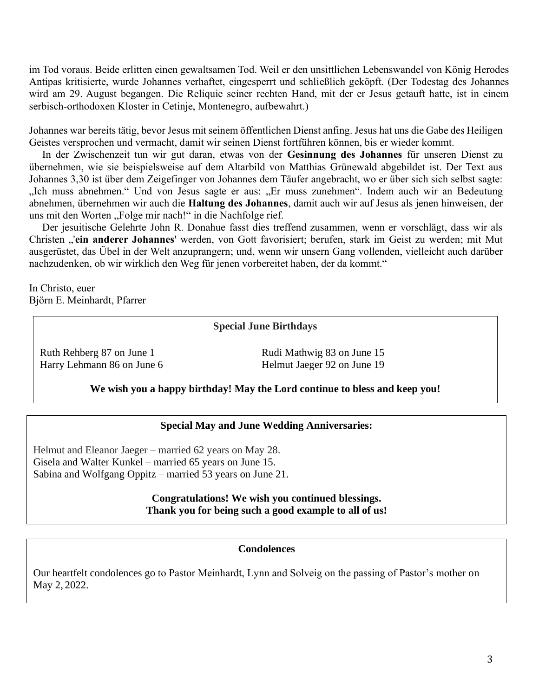im Tod voraus. Beide erlitten einen gewaltsamen Tod. Weil er den unsittlichen Lebenswandel von König Herodes Antipas kritisierte, wurde Johannes verhaftet, eingesperrt und schließlich geköpft. (Der Todestag des Johannes wird am 29. August begangen. Die Reliquie seiner rechten Hand, mit der er Jesus getauft hatte, ist in einem serbisch-orthodoxen Kloster in Cetinje, Montenegro, aufbewahrt.)

Johannes war bereits tätig, bevor Jesus mit seinem öffentlichen Dienst anfing. Jesus hat uns die Gabe des Heiligen Geistes versprochen und vermacht, damit wir seinen Dienst fortführen können, bis er wieder kommt.

 In der Zwischenzeit tun wir gut daran, etwas von der **Gesinnung des Johannes** für unseren Dienst zu übernehmen, wie sie beispielsweise auf dem Altarbild von Matthias Grünewald abgebildet ist. Der Text aus Johannes 3,30 ist über dem Zeigefinger von Johannes dem Täufer angebracht, wo er über sich sich selbst sagte: "Ich muss abnehmen." Und von Jesus sagte er aus: "Er muss zunehmen". Indem auch wir an Bedeutung abnehmen, übernehmen wir auch die **Haltung des Johannes**, damit auch wir auf Jesus als jenen hinweisen, der uns mit den Worten "Folge mir nach!" in die Nachfolge rief.

 Der jesuitische Gelehrte John R. Donahue fasst dies treffend zusammen, wenn er vorschlägt, dass wir als Christen "'**ein anderer Johannes**' werden, von Gott favorisiert; berufen, stark im Geist zu werden; mit Mut ausgerüstet, das Übel in der Welt anzuprangern; und, wenn wir unsern Gang vollenden, vielleicht auch darüber nachzudenken, ob wir wirklich den Weg für jenen vorbereitet haben, der da kommt."

In Christo, euer Björn E. Meinhardt, Pfarrer

### **Special June Birthdays**

Ruth Rehberg 87 on June 1 Rudi Mathwig 83 on June 15

Harry Lehmann 86 on June 6 Helmut Jaeger 92 on June 19

### **We wish you a happy birthday! May the Lord continue to bless and keep you!**

### **Special May and June Wedding Anniversaries:**

Helmut and Eleanor Jaeger – married 62 years on May 28. Gisela and Walter Kunkel – married 65 years on June 15. Sabina and Wolfgang Oppitz – married 53 years on June 21.

### **Congratulations! We wish you continued blessings. Thank you for being such a good example to all of us!**

#### **Condolences**

Our heartfelt condolences go to Pastor Meinhardt, Lynn and Solveig on the passing of Pastor's mother on May 2, 2022.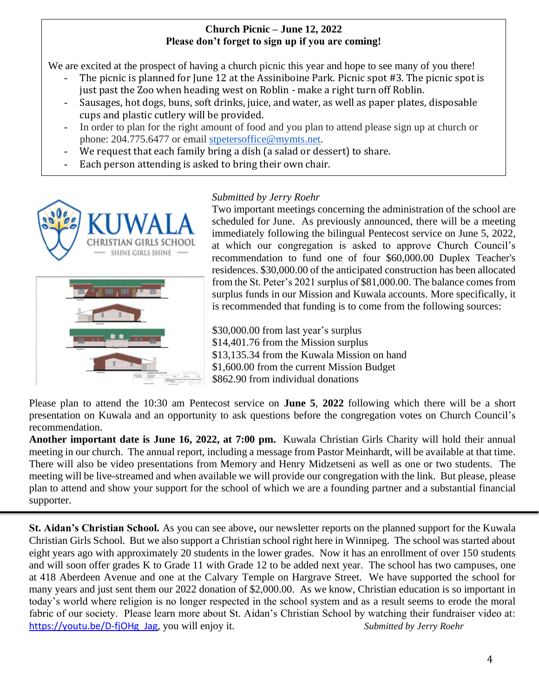## **Church Picnic – June 12, 2022 Please don't forget to sign up if you are coming!**

We are excited at the prospect of having a church picnic this year and hope to see many of you there!

- The picnic is planned for June 12 at the Assiniboine Park. Picnic spot #3. The picnic spot is just past the Zoo when heading west on Roblin - make a right turn off Roblin.
- Sausages, hot dogs, buns, soft drinks, juice, and water, as well as paper plates, disposable cups and plastic cutlery will be provided.
- In order to plan for the right amount of food and you plan to attend please sign up at church or phone: 204.775.6477 or email [stpetersoffice@mymts.net.](mailto:stpetersoffice@mymts.net)
- We request that each family bring a dish (a salad or dessert) to share.
- Each person attending is asked to bring their own chair.



## *Submitted by Jerry Roehr*

Two important meetings concerning the administration of the school are scheduled for June. As previously announced, there will be a meeting immediately following the bilingual Pentecost service on June 5, 2022, at which our congregation is asked to approve Church Council's recommendation to fund one of four \$60,000.00 Duplex Teacher's residences. \$30,000.00 of the anticipated construction has been allocated from the St. Peter's 2021 surplus of \$81,000.00. The balance comes from surplus funds in our Mission and Kuwala accounts. More specifically, it is recommended that funding is to come from the following sources:

\$30,000.00 from last year's surplus \$14,401.76 from the Mission surplus \$13,135.34 from the Kuwala Mission on hand \$1,600.00 from the current Mission Budget \$862.90 from individual donations

Please plan to attend the 10:30 am Pentecost service on **June 5**, **2022** following which there will be a short presentation on Kuwala and an opportunity to ask questions before the congregation votes on Church Council's recommendation.

**Another important date is June 16, 2022, at 7:00 pm.** Kuwala Christian Girls Charity will hold their annual meeting in our church. The annual report, including a message from Pastor Meinhardt, will be available at that time. There will also be video presentations from Memory and Henry Midzetseni as well as one or two students. The meeting will be live-streamed and when available we will provide our congregation with the link. But please, please plan to attend and show your support for the school of which we are a founding partner and a substantial financial supporter.

**St. Aidan's Christian School.** As you can see above, our newsletter reports on the planned support for the Kuwala Christian Girls School. But we also support a Christian school right here in Winnipeg. The school was started about eight years ago with approximately 20 students in the lower grades. Now it has an enrollment of over 150 students and will soon offer grades K to Grade 11 with Grade 12 to be added next year. The school has two campuses, one at 418 Aberdeen Avenue and one at the Calvary Temple on Hargrave Street. We have supported the school for many years and just sent them our 2022 donation of \$2,000.00. As we know, Christian education is so important in today's world where religion is no longer respected in the school system and as a result seems to erode the moral fabric of our society. Please learn more about St. Aidan's Christian School by watching their fundraiser video at: [https://youtu.be/D-fjOHg\\_Jag,](https://youtu.be/D-fjOHg_Jag) you will enjoy it. *Submitted by Jerry Roehr*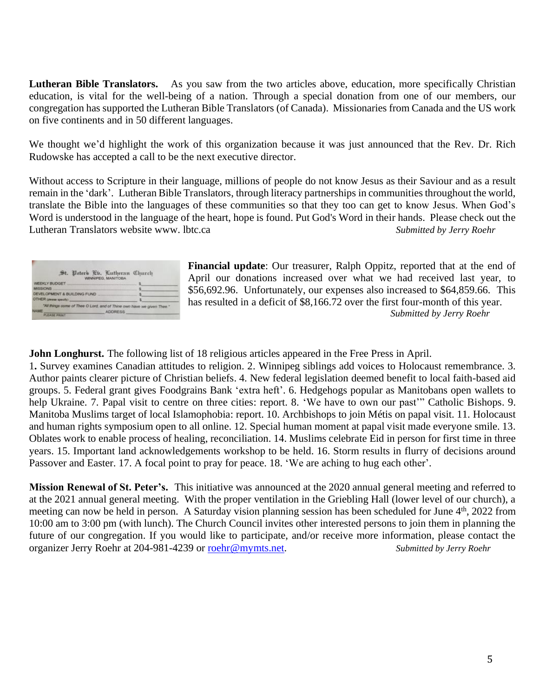**Lutheran Bible Translators.** As you saw from the two articles above, education, more specifically Christian education, is vital for the well-being of a nation. Through a special donation from one of our members, our congregation has supported the Lutheran Bible Translators (of Canada). Missionaries from Canada and the US work on five continents and in 50 different languages.

We thought we'd highlight the work of this organization because it was just announced that the Rev. Dr. Rich Rudowske has accepted a call to be the next executive director.

Without access to Scripture in their language, millions of people do not know Jesus as their Saviour and as a result remain in the 'dark'. Lutheran Bible Translators, through literacy partnerships in communities throughout the world, translate the Bible into the languages of these communities so that they too can get to know Jesus. When God's Word is understood in the language of the heart, hope is found. Put God's Word in their hands. Please check out the Lutheran Translators website www. lbtc.ca *Submitted by Jerry Roehr*

| St. Peters Eb. Lutheran Church<br>WINNIPEG, MANITOBA                   |  |
|------------------------------------------------------------------------|--|
|                                                                        |  |
| <b>MISSIONS</b>                                                        |  |
| DEVELOPMENT & BUILDING FUND                                            |  |
| OTHER gavese specify)                                                  |  |
| "All things come of Thee O Lord, and of Thine own have we given Thee." |  |
| <b>IAME</b><br><b>ADDRESS</b>                                          |  |

**Financial update**: Our treasurer, Ralph Oppitz, reported that at the end of April our donations increased over what we had received last year, to \$56,692.96. Unfortunately, our expenses also increased to \$64,859.66. This has resulted in a deficit of \$8,166.72 over the first four-month of this year. *Submitted by Jerry Roehr*

**John Longhurst.** The following list of 18 religious articles appeared in the Free Press in April.

1**.** Survey examines [Canadian](https://www.winnipegfreepress.com/arts-and-life/life/faith/survey--examines--canadian--attitudes--to-religion-576451572.html) attitudes to religion. 2. Winnipeg siblings add voices to Holocaust [remembrance.](https://www.winnipegfreepress.com/arts-and-life/life/faith/winnipeg-siblings-add-voices-to-holocaust-remembrance-576437612.html) 3. Author paints clearer picture of [Christian](https://www.winnipegfreepress.com/arts-and-life/life/faith/author-paints-clearer-picture-of-christian-beliefs-576425202.html) beliefs. 4. New federal legislation deemed benefit to local [faith-based](https://www.winnipegfreepress.com/arts-and-life/life/faith/new-federal-legislation-deemed-benefit-to-aid-groups-developing-world-partners-576421442.html) aid [groups.](https://www.winnipegfreepress.com/arts-and-life/life/faith/new-federal-legislation-deemed-benefit-to-aid-groups-developing-world-partners-576421442.html) 5. Federal grant gives [Foodgrains](https://www.winnipegfreepress.com/arts-and-life/life/faith/federal-grant-give-foodgrains-bank-extra-heft-575891132.html) Bank 'extra heft'. 6. Hedgehogs popular as [Manitobans](https://www.winnipegfreepress.com/arts-and-life/life/faith/hedgehogs-popular-as-manitobans-open-wallets-to-help-ukraine-576413092.html) open wallets to help [Ukraine.](https://www.winnipegfreepress.com/arts-and-life/life/faith/hedgehogs-popular-as-manitobans-open-wallets-to-help-ukraine-576413092.html) 7. Papal visit to centre on three cities: [report.](https://www.winnipegfreepress.com/arts-and-life/life/faith/papal-visit-to-centre-on-three-cities-report-576405852.html) 8. 'We have to own our past'" Catholic [Bishops.](https://www.winnipegfreepress.com/arts-and-life/life/faith/we-have-to-own-our-past-576378782.html) 9. Manitoba Muslims target of local [Islamophobia:](https://www.winnipegfreepress.com/arts-and-life/life/faith/manitoba-muslims-target-of-local-islamophobia-report-576371042.html) report. 10. [Archbishops](https://www.winnipegfreepress.com/arts-and-life/life/faith/archbishops-to-join-metis-on-papal-visit-576367372.html) to join Métis on papal visit. 11. [Holocaust](https://www.winnipegfreepress.com/arts-and-life/life/faith/holocaust-and-human-rights--symposium-open-to-all-online-576367512.html) and human rights [symposium](https://www.winnipegfreepress.com/arts-and-life/life/faith/holocaust-and-human-rights--symposium-open-to-all-online-576367512.html) open to all online. 12. Special human moment at papal visit made [everyone](https://www.winnipegfreepress.com/arts-and-life/life/faith/special-human-moment-made-everyone-smile-576359872.html) smile. 13. Oblates work to enable process of healing, [reconciliation.](https://www.winnipegfreepress.com/arts-and-life/life/faith/oblates-work-to-enable-process-of-healing-reconciliation-576355212.html) 14. [Muslims](https://www.winnipegfreepress.com/arts-and-life/life/faith/muslims-celebrate-eid-in-person-for-first-time-in-three-years-576451362.html) celebrate Eid in person for first time in three [years.](https://www.winnipegfreepress.com/arts-and-life/life/faith/muslims-celebrate-eid-in-person-for-first-time-in-three-years-576451362.html) 15. Important land [acknowledgements](https://www.winnipegfreepress.com/arts-and-life/life/faith/important-workshop-to-be-held-576451592.html) workshop to be held. 16. Storm results in flurry of [decisions](https://www.winnipegfreepress.com/arts-and-life/life/faith/storm-results-in-flurry-of-decisions-around-passover-and-easter-576395882.html) around [Passover](https://www.winnipegfreepress.com/arts-and-life/life/faith/storm-results-in-flurry-of-decisions-around-passover-and-easter-576395882.html) and Easter. 17. A focal point to pray for [peace.](https://www.winnipegfreepress.com/arts-and-life/life/faith/a-focal-point-to-pray-for-peace-576376822.html) 18. 'We are [aching](https://www.winnipegfreepress.com/arts-and-life/life/faith/we-are-aching-to-hug-each-other-576351332.html) to hug each other'.

**Mission Renewal of St. Peter's.** This initiative was announced at the 2020 annual general meeting and referred to at the 2021 annual general meeting. With the proper ventilation in the Griebling Hall (lower level of our church), a meeting can now be held in person. A Saturday vision planning session has been scheduled for June 4<sup>th</sup>, 2022 from 10:00 am to 3:00 pm (with lunch). The Church Council invites other interested persons to join them in planning the future of our congregation. If you would like to participate, and/or receive more information, please contact the organizer Jerry Roehr at 204-981-4239 or [roehr@mymts.net.](mailto:roehr@mymts.net) *Submitted by Jerry Roehr*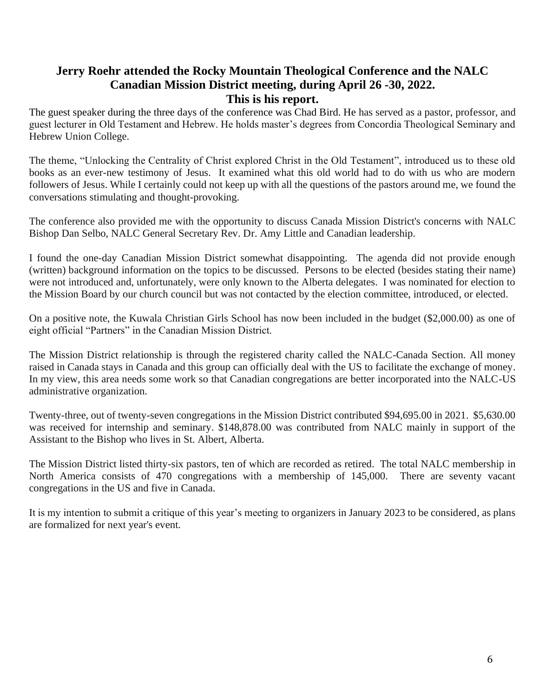## **Jerry Roehr attended the Rocky Mountain Theological Conference and the NALC Canadian Mission District meeting, during April 26 -30, 2022. This is his report.**

The guest speaker during the three days of the conference was Chad Bird. He has served as a pastor, professor, and guest lecturer in Old Testament and Hebrew. He holds master's degrees from Concordia Theological Seminary and Hebrew Union College.

The theme, "Unlocking the Centrality of Christ explored Christ in the Old Testament", introduced us to these old books as an ever-new testimony of Jesus. It examined what this old world had to do with us who are modern followers of Jesus. While I certainly could not keep up with all the questions of the pastors around me, we found the conversations stimulating and thought-provoking.

The conference also provided me with the opportunity to discuss Canada Mission District's concerns with NALC Bishop Dan Selbo, NALC General Secretary Rev. Dr. Amy Little and Canadian leadership.

I found the one-day Canadian Mission District somewhat disappointing. The agenda did not provide enough (written) background information on the topics to be discussed. Persons to be elected (besides stating their name) were not introduced and, unfortunately, were only known to the Alberta delegates. I was nominated for election to the Mission Board by our church council but was not contacted by the election committee, introduced, or elected.

On a positive note, the Kuwala Christian Girls School has now been included in the budget (\$2,000.00) as one of eight official "Partners" in the Canadian Mission District.

The Mission District relationship is through the registered charity called the NALC-Canada Section. All money raised in Canada stays in Canada and this group can officially deal with the US to facilitate the exchange of money. In my view, this area needs some work so that Canadian congregations are better incorporated into the NALC-US administrative organization.

Twenty-three, out of twenty-seven congregations in the Mission District contributed \$94,695.00 in 2021. \$5,630.00 was received for internship and seminary. \$148,878.00 was contributed from NALC mainly in support of the Assistant to the Bishop who lives in St. Albert, Alberta.

The Mission District listed thirty-six pastors, ten of which are recorded as retired. The total NALC membership in North America consists of 470 congregations with a membership of 145,000. There are seventy vacant congregations in the US and five in Canada.

It is my intention to submit a critique of this year's meeting to organizers in January 2023 to be considered, as plans are formalized for next year's event.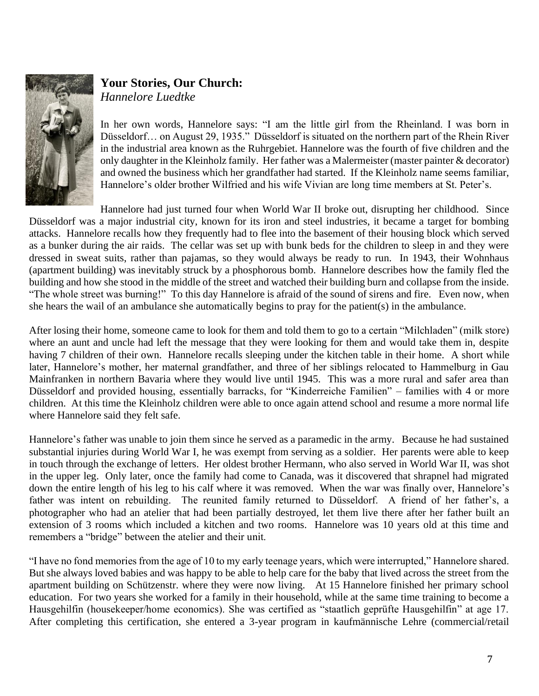

# **Your Stories, Our Church:**  *Hannelore Luedtke*

In her own words, Hannelore says: "I am the little girl from the Rheinland. I was born in Düsseldorf… on August 29, 1935." Düsseldorf is situated on the northern part of the Rhein River in the industrial area known as the Ruhrgebiet. Hannelore was the fourth of five children and the only daughter in the Kleinholz family. Her father was a Malermeister (master painter & decorator) and owned the business which her grandfather had started. If the Kleinholz name seems familiar, Hannelore's older brother Wilfried and his wife Vivian are long time members at St. Peter's.

Hannelore had just turned four when World War II broke out, disrupting her childhood. Since Düsseldorf was a major industrial city, known for its iron and steel industries, it became a target for bombing attacks. Hannelore recalls how they frequently had to flee into the basement of their housing block which served as a bunker during the air raids. The cellar was set up with bunk beds for the children to sleep in and they were dressed in sweat suits, rather than pajamas, so they would always be ready to run. In 1943, their Wohnhaus (apartment building) was inevitably struck by a phosphorous bomb. Hannelore describes how the family fled the building and how she stood in the middle of the street and watched their building burn and collapse from the inside. "The whole street was burning!" To this day Hannelore is afraid of the sound of sirens and fire. Even now, when she hears the wail of an ambulance she automatically begins to pray for the patient(s) in the ambulance.

After losing their home, someone came to look for them and told them to go to a certain "Milchladen" (milk store) where an aunt and uncle had left the message that they were looking for them and would take them in, despite having 7 children of their own. Hannelore recalls sleeping under the kitchen table in their home. A short while later, Hannelore's mother, her maternal grandfather, and three of her siblings relocated to Hammelburg in Gau Mainfranken in northern Bavaria where they would live until 1945. This was a more rural and safer area than Düsseldorf and provided housing, essentially barracks, for "Kinderreiche Familien" – families with 4 or more children. At this time the Kleinholz children were able to once again attend school and resume a more normal life where Hannelore said they felt safe.

Hannelore's father was unable to join them since he served as a paramedic in the army. Because he had sustained substantial injuries during World War I, he was exempt from serving as a soldier. Her parents were able to keep in touch through the exchange of letters. Her oldest brother Hermann, who also served in World War II, was shot in the upper leg. Only later, once the family had come to Canada, was it discovered that shrapnel had migrated down the entire length of his leg to his calf where it was removed. When the war was finally over, Hannelore's father was intent on rebuilding. The reunited family returned to Düsseldorf. A friend of her father's, a photographer who had an atelier that had been partially destroyed, let them live there after her father built an extension of 3 rooms which included a kitchen and two rooms. Hannelore was 10 years old at this time and remembers a "bridge" between the atelier and their unit.

"I have no fond memories from the age of 10 to my early teenage years, which were interrupted," Hannelore shared. But she always loved babies and was happy to be able to help care for the baby that lived across the street from the apartment building on Schützenstr. where they were now living. At 15 Hannelore finished her primary school education. For two years she worked for a family in their household, while at the same time training to become a Hausgehilfin (housekeeper/home economics). She was certified as "staatlich geprüfte Hausgehilfin" at age 17. After completing this certification, she entered a 3-year program in kaufmännische Lehre (commercial/retail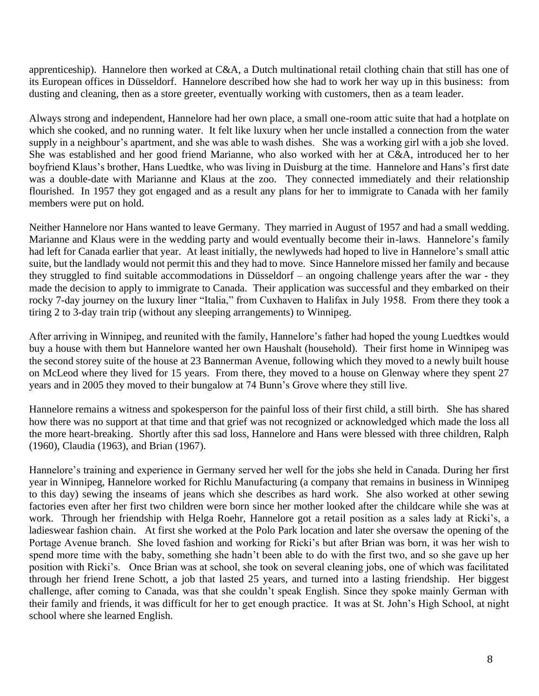apprenticeship). Hannelore then worked at C&A, a Dutch multinational retail clothing chain that still has one of its European offices in Düsseldorf. Hannelore described how she had to work her way up in this business: from dusting and cleaning, then as a store greeter, eventually working with customers, then as a team leader.

Always strong and independent, Hannelore had her own place, a small one-room attic suite that had a hotplate on which she cooked, and no running water. It felt like luxury when her uncle installed a connection from the water supply in a neighbour's apartment, and she was able to wash dishes. She was a working girl with a job she loved. She was established and her good friend Marianne, who also worked with her at C&A, introduced her to her boyfriend Klaus's brother, Hans Luedtke, who was living in Duisburg at the time. Hannelore and Hans's first date was a double-date with Marianne and Klaus at the zoo. They connected immediately and their relationship flourished. In 1957 they got engaged and as a result any plans for her to immigrate to Canada with her family members were put on hold.

Neither Hannelore nor Hans wanted to leave Germany. They married in August of 1957 and had a small wedding. Marianne and Klaus were in the wedding party and would eventually become their in-laws. Hannelore's family had left for Canada earlier that year. At least initially, the newlyweds had hoped to live in Hannelore's small attic suite, but the landlady would not permit this and they had to move. Since Hannelore missed her family and because they struggled to find suitable accommodations in Düsseldorf – an ongoing challenge years after the war - they made the decision to apply to immigrate to Canada. Their application was successful and they embarked on their rocky 7-day journey on the luxury liner "Italia," from Cuxhaven to Halifax in July 1958. From there they took a tiring 2 to 3-day train trip (without any sleeping arrangements) to Winnipeg.

After arriving in Winnipeg, and reunited with the family, Hannelore's father had hoped the young Luedtkes would buy a house with them but Hannelore wanted her own Haushalt (household). Their first home in Winnipeg was the second storey suite of the house at 23 Bannerman Avenue, following which they moved to a newly built house on McLeod where they lived for 15 years. From there, they moved to a house on Glenway where they spent 27 years and in 2005 they moved to their bungalow at 74 Bunn's Grove where they still live.

Hannelore remains a witness and spokesperson for the painful loss of their first child, a still birth. She has shared how there was no support at that time and that grief was not recognized or acknowledged which made the loss all the more heart-breaking. Shortly after this sad loss, Hannelore and Hans were blessed with three children, Ralph (1960), Claudia (1963), and Brian (1967).

Hannelore's training and experience in Germany served her well for the jobs she held in Canada. During her first year in Winnipeg, Hannelore worked for Richlu Manufacturing (a company that remains in business in Winnipeg to this day) sewing the inseams of jeans which she describes as hard work. She also worked at other sewing factories even after her first two children were born since her mother looked after the childcare while she was at work. Through her friendship with Helga Roehr, Hannelore got a retail position as a sales lady at Ricki's, a ladieswear fashion chain. At first she worked at the Polo Park location and later she oversaw the opening of the Portage Avenue branch. She loved fashion and working for Ricki's but after Brian was born, it was her wish to spend more time with the baby, something she hadn't been able to do with the first two, and so she gave up her position with Ricki's. Once Brian was at school, she took on several cleaning jobs, one of which was facilitated through her friend Irene Schott, a job that lasted 25 years, and turned into a lasting friendship. Her biggest challenge, after coming to Canada, was that she couldn't speak English. Since they spoke mainly German with their family and friends, it was difficult for her to get enough practice. It was at St. John's High School, at night school where she learned English.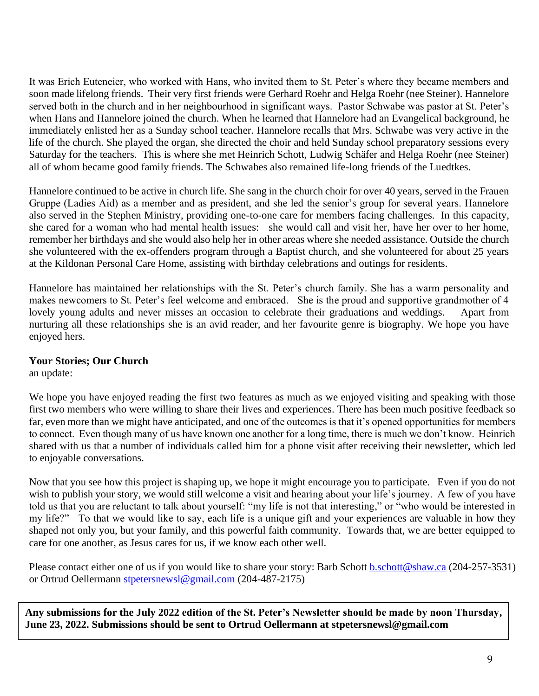It was Erich Euteneier, who worked with Hans, who invited them to St. Peter's where they became members and soon made lifelong friends. Their very first friends were Gerhard Roehr and Helga Roehr (nee Steiner). Hannelore served both in the church and in her neighbourhood in significant ways. Pastor Schwabe was pastor at St. Peter's when Hans and Hannelore joined the church. When he learned that Hannelore had an Evangelical background, he immediately enlisted her as a Sunday school teacher. Hannelore recalls that Mrs. Schwabe was very active in the life of the church. She played the organ, she directed the choir and held Sunday school preparatory sessions every Saturday for the teachers. This is where she met Heinrich Schott, Ludwig Schäfer and Helga Roehr (nee Steiner) all of whom became good family friends. The Schwabes also remained life-long friends of the Luedtkes.

Hannelore continued to be active in church life. She sang in the church choir for over 40 years, served in the Frauen Gruppe (Ladies Aid) as a member and as president, and she led the senior's group for several years. Hannelore also served in the Stephen Ministry, providing one-to-one care for members facing challenges. In this capacity, she cared for a woman who had mental health issues: she would call and visit her, have her over to her home, remember her birthdays and she would also help her in other areas where she needed assistance. Outside the church she volunteered with the ex-offenders program through a Baptist church, and she volunteered for about 25 years at the Kildonan Personal Care Home, assisting with birthday celebrations and outings for residents.

Hannelore has maintained her relationships with the St. Peter's church family. She has a warm personality and makes newcomers to St. Peter's feel welcome and embraced. She is the proud and supportive grandmother of 4 lovely young adults and never misses an occasion to celebrate their graduations and weddings. Apart from nurturing all these relationships she is an avid reader, and her favourite genre is biography. We hope you have enjoyed hers.

## **Your Stories; Our Church**

an update:

We hope you have enjoyed reading the first two features as much as we enjoyed visiting and speaking with those first two members who were willing to share their lives and experiences. There has been much positive feedback so far, even more than we might have anticipated, and one of the outcomes is that it's opened opportunities for members to connect. Even though many of us have known one another for a long time, there is much we don't know. Heinrich shared with us that a number of individuals called him for a phone visit after receiving their newsletter, which led to enjoyable conversations.

Now that you see how this project is shaping up, we hope it might encourage you to participate. Even if you do not wish to publish your story, we would still welcome a visit and hearing about your life's journey. A few of you have told us that you are reluctant to talk about yourself: "my life is not that interesting," or "who would be interested in my life?" To that we would like to say, each life is a unique gift and your experiences are valuable in how they shaped not only you, but your family, and this powerful faith community. Towards that, we are better equipped to care for one another, as Jesus cares for us, if we know each other well.

Please contact either one of us if you would like to share your story: Barb Schott **b.schott@shaw.ca** (204-257-3531) or Ortrud Oellermann [stpetersnewsl@gmail.com](mailto:stpetersnewsl@gmail.com) (204-487-2175)

**Any submissions for the July 2022 edition of the St. Peter's Newsletter should be made by noon Thursday, June 23, 2022. Submissions should be sent to Ortrud Oellermann at [stpetersnewsl@gmail.com](mailto:stpetersnewsl@gmail.com)**